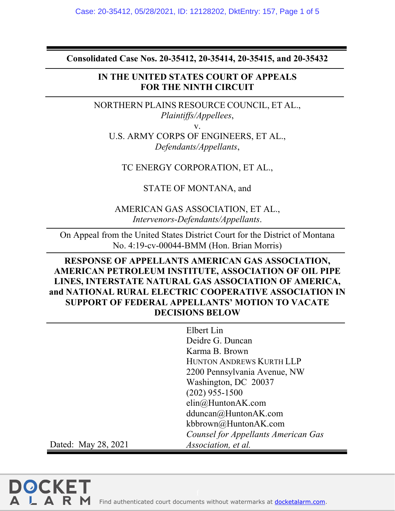**Consolidated Case Nos. 20-35412, 20-35414, 20-35415, and 20-35432** 

## **IN THE UNITED STATES COURT OF APPEALS FOR THE NINTH CIRCUIT**

NORTHERN PLAINS RESOURCE COUNCIL, ET AL., *Plaintiffs/Appellees*,

v.

U.S. ARMY CORPS OF ENGINEERS, ET AL., *Defendants/Appellants*,

TC ENERGY CORPORATION, ET AL.,

STATE OF MONTANA, and

AMERICAN GAS ASSOCIATION, ET AL., *Intervenors-Defendants/Appellants*.

On Appeal from the United States District Court for the District of Montana No. 4:19-cv-00044-BMM (Hon. Brian Morris)

# **RESPONSE OF APPELLANTS AMERICAN GAS ASSOCIATION, AMERICAN PETROLEUM INSTITUTE, ASSOCIATION OF OIL PIPE LINES, INTERSTATE NATURAL GAS ASSOCIATION OF AMERICA, and NATIONAL RURAL ELECTRIC COOPERATIVE ASSOCIATION IN SUPPORT OF FEDERAL APPELLANTS' MOTION TO VACATE DECISIONS BELOW**

|                     | Elbert Lin                          |
|---------------------|-------------------------------------|
|                     | Deidre G. Duncan                    |
|                     | Karma B. Brown                      |
|                     | <b>HUNTON ANDREWS KURTH LLP</b>     |
|                     | 2200 Pennsylvania Avenue, NW        |
|                     | Washington, DC 20037                |
|                     | $(202)$ 955-1500                    |
|                     | $elim@$ HuntonAK.com                |
|                     | dduncan@HuntonAK.com                |
|                     | kbbrown@HuntonAK.com                |
|                     | Counsel for Appellants American Gas |
| Dated: May 28, 2021 | Association, et al.                 |

**DOCKET** 

A L A R M Find authenticated [court documents without watermarks](https://www.docketalarm.com/) at docketalarm.com.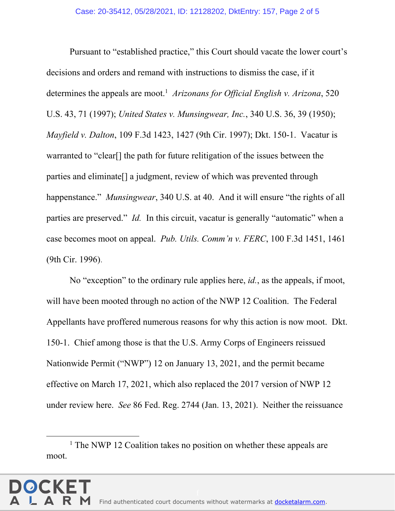Pursuant to "established practice," this Court should vacate the lower court's decisions and orders and remand with instructions to dismiss the case, if it determines the appeals are moot.<sup>1</sup> Arizonans for Official English v. Arizona, 520 U.S. 43, 71 (1997); *United States v. Munsingwear, Inc.*, 340 U.S. 36, 39 (1950); *Mayfield v. Dalton*, 109 F.3d 1423, 1427 (9th Cir. 1997); Dkt. 150-1. Vacatur is warranted to "clear[] the path for future relitigation of the issues between the parties and eliminate[] a judgment, review of which was prevented through happenstance." *Munsingwear*, 340 U.S. at 40. And it will ensure "the rights of all parties are preserved." *Id.* In this circuit, vacatur is generally "automatic" when a case becomes moot on appeal. *Pub. Utils. Comm'n v. FERC*, 100 F.3d 1451, 1461 (9th Cir. 1996).

No "exception" to the ordinary rule applies here, *id.*, as the appeals, if moot, will have been mooted through no action of the NWP 12 Coalition. The Federal Appellants have proffered numerous reasons for why this action is now moot. Dkt. 150-1. Chief among those is that the U.S. Army Corps of Engineers reissued Nationwide Permit ("NWP") 12 on January 13, 2021, and the permit became effective on March 17, 2021, which also replaced the 2017 version of NWP 12 under review here. *See* 86 Fed. Reg. 2744 (Jan. 13, 2021). Neither the reissuance

 $\overline{\phantom{a}}$ <sup>1</sup> The NWP 12 Coalition takes no position on whether these appeals are moot.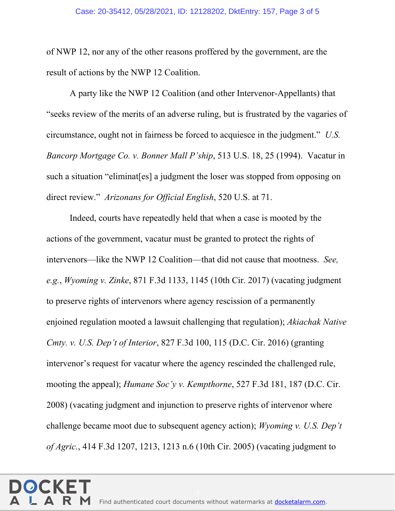of NWP 12, nor any of the other reasons proffered by the government, are the result of actions by the NWP 12 Coalition.

A party like the NWP 12 Coalition (and other Intervenor-Appellants) that "seeks review of the merits of an adverse ruling, but is frustrated by the vagaries of circumstance, ought not in fairness be forced to acquiesce in the judgment." *U.S. Bancorp Mortgage Co. v. Bonner Mall P'ship*, 513 U.S. 18, 25 (1994). Vacatur in such a situation "eliminat[es] a judgment the loser was stopped from opposing on direct review." *Arizonans for Official English*, 520 U.S. at 71.

Indeed, courts have repeatedly held that when a case is mooted by the actions of the government, vacatur must be granted to protect the rights of intervenors—like the NWP 12 Coalition—that did not cause that mootness. *See, e.g.*, *Wyoming v. Zinke*, 871 F.3d 1133, 1145 (10th Cir. 2017) (vacating judgment to preserve rights of intervenors where agency rescission of a permanently enjoined regulation mooted a lawsuit challenging that regulation); *Akiachak Native Cmty. v. U.S. Dep't of Interior*, 827 F.3d 100, 115 (D.C. Cir. 2016) (granting intervenor's request for vacatur where the agency rescinded the challenged rule, mooting the appeal); *Humane Soc'y v. Kempthorne*, 527 F.3d 181, 187 (D.C. Cir. 2008) (vacating judgment and injunction to preserve rights of intervenor where challenge became moot due to subsequent agency action); *Wyoming v. U.S. Dep't of Agric.*, 414 F.3d 1207, 1213, 1213 n.6 (10th Cir. 2005) (vacating judgment to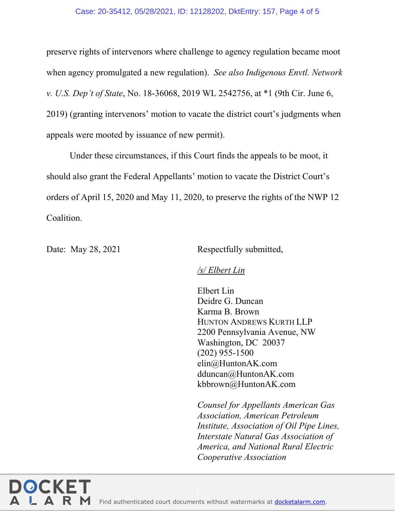#### Case: 20-35412, 05/28/2021, ID: 12128202, DktEntry: 157, Page 4 of 5

preserve rights of intervenors where challenge to agency regulation became moot when agency promulgated a new regulation). *See also Indigenous Envtl. Network v. U.S. Dep't of State*, No. 18-36068, 2019 WL 2542756, at \*1 (9th Cir. June 6, 2019) (granting intervenors' motion to vacate the district court's judgments when appeals were mooted by issuance of new permit).

Under these circumstances, if this Court finds the appeals to be moot, it should also grant the Federal Appellants' motion to vacate the District Court's orders of April 15, 2020 and May 11, 2020, to preserve the rights of the NWP 12 Coalition.

Date: May 28, 2021 Respectfully submitted,

### */s/ Elbert Lin*

 Elbert Lin Deidre G. Duncan Karma B. Brown HUNTON ANDREWS KURTH LLP 2200 Pennsylvania Avenue, NW Washington, DC 20037 (202) 955-1500 elin@HuntonAK.com dduncan@HuntonAK.com kbbrown@HuntonAK.com

*Counsel for Appellants American Gas Association, American Petroleum Institute, Association of Oil Pipe Lines, Interstate Natural Gas Association of America, and National Rural Electric Cooperative Association*